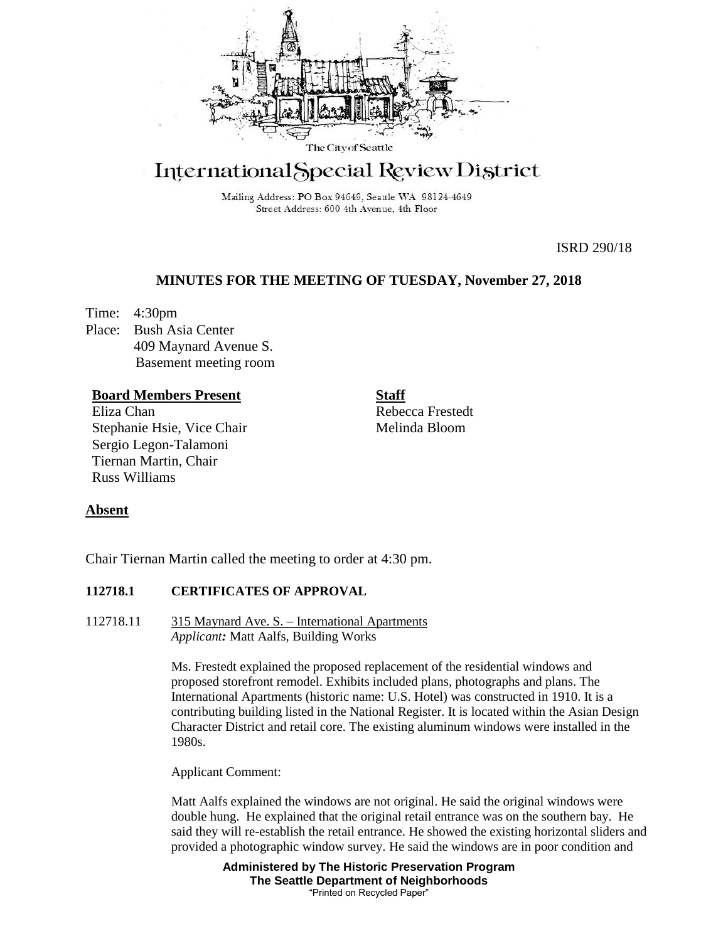

# International Special Review District

Mailing Address: PO Box 94649, Seattle WA 98124-4649 Street Address: 600 4th Avenue, 4th Floor

ISRD 290/18

# **MINUTES FOR THE MEETING OF TUESDAY, November 27, 2018**

Time: 4:30pm Place: Bush Asia Center 409 Maynard Avenue S. Basement meeting room

# **Board Members Present**

Eliza Chan Stephanie Hsie, Vice Chair Sergio Legon-Talamoni Tiernan Martin, Chair Russ Williams

**Staff** Rebecca Frestedt Melinda Bloom

# **Absent**

Chair Tiernan Martin called the meeting to order at 4:30 pm.

## **112718.1 CERTIFICATES OF APPROVAL**

112718.11 315 Maynard Ave. S. – International Apartments *Applicant:* Matt Aalfs, Building Works

> Ms. Frestedt explained the proposed replacement of the residential windows and proposed storefront remodel. Exhibits included plans, photographs and plans. The International Apartments (historic name: U.S. Hotel) was constructed in 1910. It is a contributing building listed in the National Register. It is located within the Asian Design Character District and retail core. The existing aluminum windows were installed in the 1980s.

Applicant Comment:

Matt Aalfs explained the windows are not original. He said the original windows were double hung. He explained that the original retail entrance was on the southern bay. He said they will re-establish the retail entrance. He showed the existing horizontal sliders and provided a photographic window survey. He said the windows are in poor condition and

> **Administered by The Historic Preservation Program The Seattle Department of Neighborhoods** "Printed on Recycled Paper"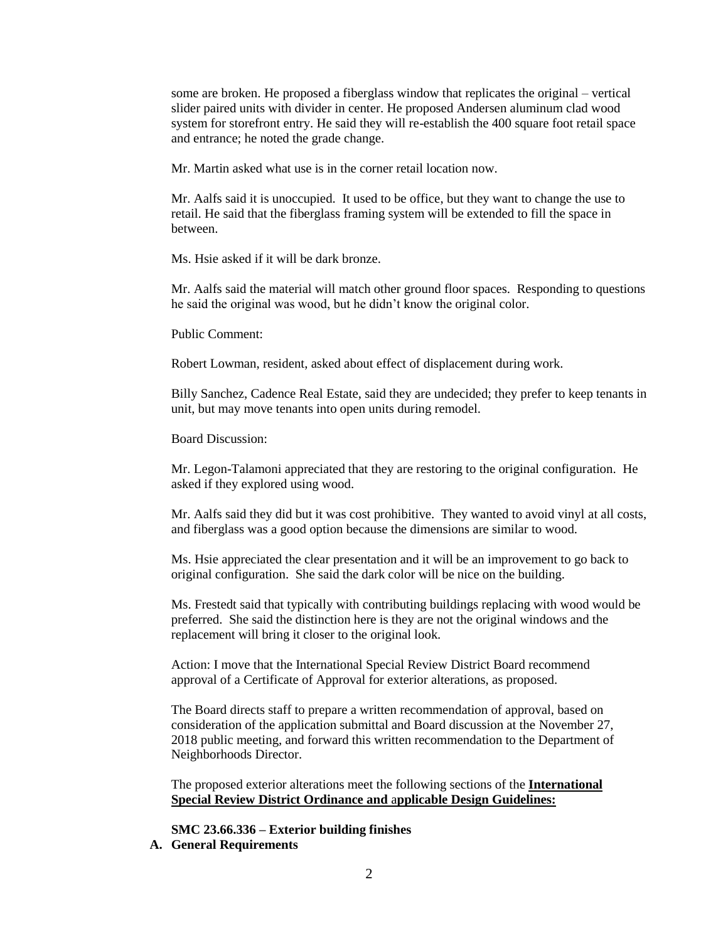some are broken. He proposed a fiberglass window that replicates the original – vertical slider paired units with divider in center. He proposed Andersen aluminum clad wood system for storefront entry. He said they will re-establish the 400 square foot retail space and entrance; he noted the grade change.

Mr. Martin asked what use is in the corner retail location now.

Mr. Aalfs said it is unoccupied. It used to be office, but they want to change the use to retail. He said that the fiberglass framing system will be extended to fill the space in between.

Ms. Hsie asked if it will be dark bronze.

Mr. Aalfs said the material will match other ground floor spaces. Responding to questions he said the original was wood, but he didn't know the original color.

Public Comment:

Robert Lowman, resident, asked about effect of displacement during work.

Billy Sanchez, Cadence Real Estate, said they are undecided; they prefer to keep tenants in unit, but may move tenants into open units during remodel.

Board Discussion:

Mr. Legon-Talamoni appreciated that they are restoring to the original configuration. He asked if they explored using wood.

Mr. Aalfs said they did but it was cost prohibitive. They wanted to avoid vinyl at all costs, and fiberglass was a good option because the dimensions are similar to wood.

Ms. Hsie appreciated the clear presentation and it will be an improvement to go back to original configuration. She said the dark color will be nice on the building.

Ms. Frestedt said that typically with contributing buildings replacing with wood would be preferred. She said the distinction here is they are not the original windows and the replacement will bring it closer to the original look.

Action: I move that the International Special Review District Board recommend approval of a Certificate of Approval for exterior alterations, as proposed.

The Board directs staff to prepare a written recommendation of approval, based on consideration of the application submittal and Board discussion at the November 27, 2018 public meeting, and forward this written recommendation to the Department of Neighborhoods Director.

The proposed exterior alterations meet the following sections of the **International Special Review District Ordinance and** a**pplicable Design Guidelines:**

**SMC 23.66.336 – Exterior building finishes**

**A. General Requirements**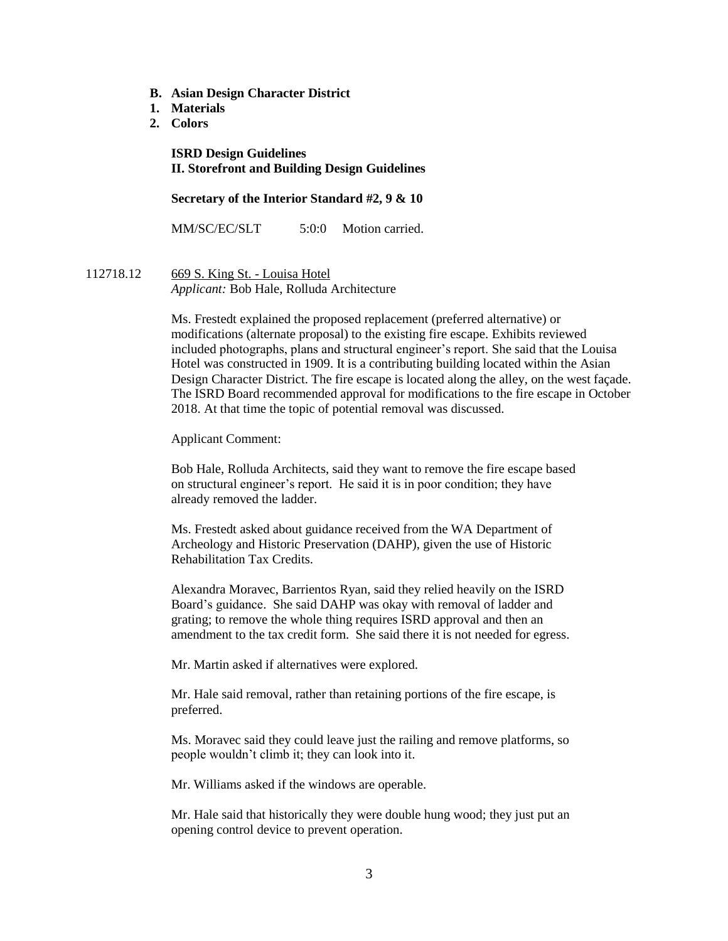- **B. Asian Design Character District**
- **1. Materials**
- **2. Colors**

**ISRD Design Guidelines II. Storefront and Building Design Guidelines**

### **Secretary of the Interior Standard #2, 9 & 10**

MM/SC/EC/SLT 5:0:0 Motion carried.

112718.12 669 S. King St. - Louisa Hotel *Applicant:* Bob Hale, Rolluda Architecture

> Ms. Frestedt explained the proposed replacement (preferred alternative) or modifications (alternate proposal) to the existing fire escape. Exhibits reviewed included photographs, plans and structural engineer's report. She said that the Louisa Hotel was constructed in 1909. It is a contributing building located within the Asian Design Character District. The fire escape is located along the alley, on the west façade. The ISRD Board recommended approval for modifications to the fire escape in October 2018. At that time the topic of potential removal was discussed.

Applicant Comment:

Bob Hale, Rolluda Architects, said they want to remove the fire escape based on structural engineer's report. He said it is in poor condition; they have already removed the ladder.

Ms. Frestedt asked about guidance received from the WA Department of Archeology and Historic Preservation (DAHP), given the use of Historic Rehabilitation Tax Credits.

Alexandra Moravec, Barrientos Ryan, said they relied heavily on the ISRD Board's guidance. She said DAHP was okay with removal of ladder and grating; to remove the whole thing requires ISRD approval and then an amendment to the tax credit form. She said there it is not needed for egress.

Mr. Martin asked if alternatives were explored.

Mr. Hale said removal, rather than retaining portions of the fire escape, is preferred.

Ms. Moravec said they could leave just the railing and remove platforms, so people wouldn't climb it; they can look into it.

Mr. Williams asked if the windows are operable.

Mr. Hale said that historically they were double hung wood; they just put an opening control device to prevent operation.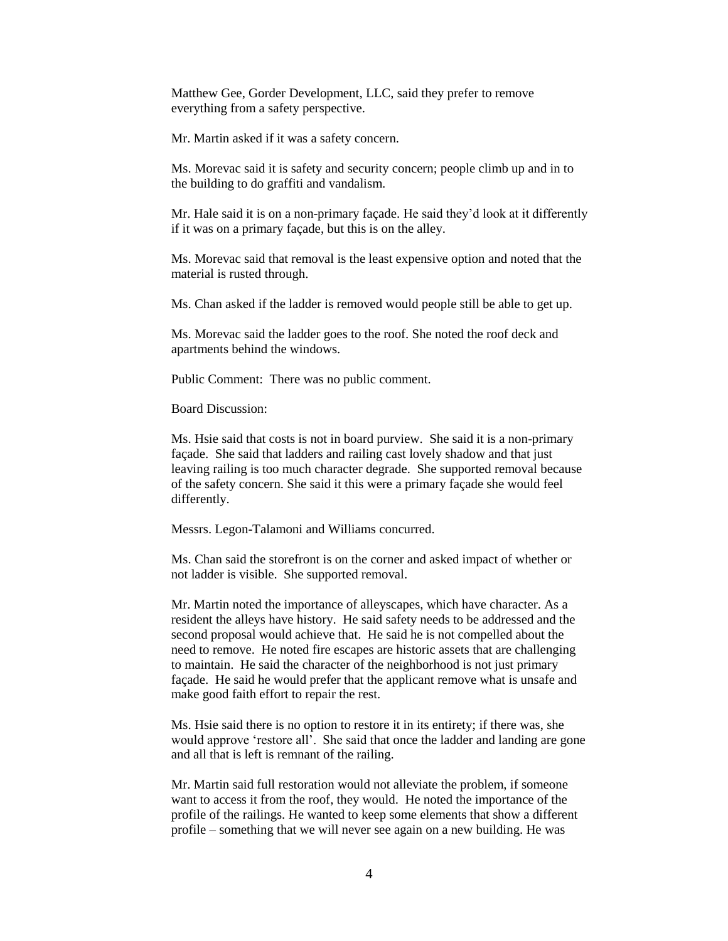Matthew Gee, Gorder Development, LLC, said they prefer to remove everything from a safety perspective.

Mr. Martin asked if it was a safety concern.

Ms. Morevac said it is safety and security concern; people climb up and in to the building to do graffiti and vandalism.

Mr. Hale said it is on a non-primary façade. He said they'd look at it differently if it was on a primary façade, but this is on the alley.

Ms. Morevac said that removal is the least expensive option and noted that the material is rusted through.

Ms. Chan asked if the ladder is removed would people still be able to get up.

Ms. Morevac said the ladder goes to the roof. She noted the roof deck and apartments behind the windows.

Public Comment: There was no public comment.

Board Discussion:

Ms. Hsie said that costs is not in board purview. She said it is a non-primary façade. She said that ladders and railing cast lovely shadow and that just leaving railing is too much character degrade. She supported removal because of the safety concern. She said it this were a primary façade she would feel differently.

Messrs. Legon-Talamoni and Williams concurred.

Ms. Chan said the storefront is on the corner and asked impact of whether or not ladder is visible. She supported removal.

Mr. Martin noted the importance of alleyscapes, which have character. As a resident the alleys have history. He said safety needs to be addressed and the second proposal would achieve that. He said he is not compelled about the need to remove. He noted fire escapes are historic assets that are challenging to maintain. He said the character of the neighborhood is not just primary façade. He said he would prefer that the applicant remove what is unsafe and make good faith effort to repair the rest.

Ms. Hsie said there is no option to restore it in its entirety; if there was, she would approve 'restore all'. She said that once the ladder and landing are gone and all that is left is remnant of the railing.

Mr. Martin said full restoration would not alleviate the problem, if someone want to access it from the roof, they would. He noted the importance of the profile of the railings. He wanted to keep some elements that show a different profile – something that we will never see again on a new building. He was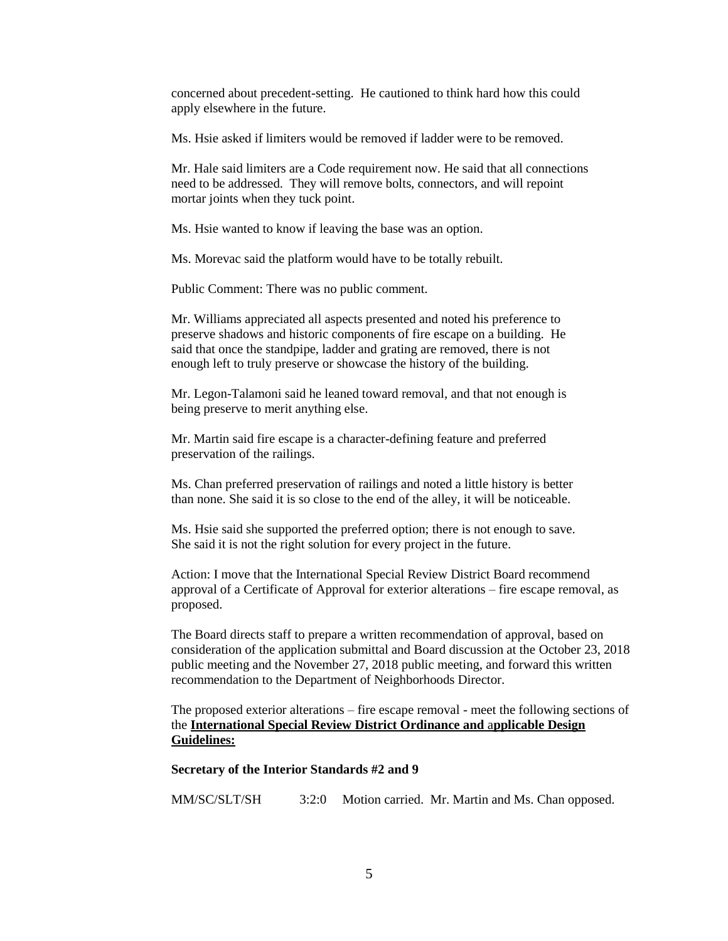concerned about precedent-setting. He cautioned to think hard how this could apply elsewhere in the future.

Ms. Hsie asked if limiters would be removed if ladder were to be removed.

Mr. Hale said limiters are a Code requirement now. He said that all connections need to be addressed. They will remove bolts, connectors, and will repoint mortar joints when they tuck point.

Ms. Hsie wanted to know if leaving the base was an option.

Ms. Morevac said the platform would have to be totally rebuilt.

Public Comment: There was no public comment.

Mr. Williams appreciated all aspects presented and noted his preference to preserve shadows and historic components of fire escape on a building. He said that once the standpipe, ladder and grating are removed, there is not enough left to truly preserve or showcase the history of the building.

Mr. Legon-Talamoni said he leaned toward removal, and that not enough is being preserve to merit anything else.

Mr. Martin said fire escape is a character-defining feature and preferred preservation of the railings.

Ms. Chan preferred preservation of railings and noted a little history is better than none. She said it is so close to the end of the alley, it will be noticeable.

Ms. Hsie said she supported the preferred option; there is not enough to save. She said it is not the right solution for every project in the future.

Action: I move that the International Special Review District Board recommend approval of a Certificate of Approval for exterior alterations – fire escape removal, as proposed.

The Board directs staff to prepare a written recommendation of approval, based on consideration of the application submittal and Board discussion at the October 23, 2018 public meeting and the November 27, 2018 public meeting, and forward this written recommendation to the Department of Neighborhoods Director.

The proposed exterior alterations – fire escape removal - meet the following sections of the **International Special Review District Ordinance and** a**pplicable Design Guidelines:**

## **Secretary of the Interior Standards #2 and 9**

MM/SC/SLT/SH 3:2:0 Motion carried. Mr. Martin and Ms. Chan opposed.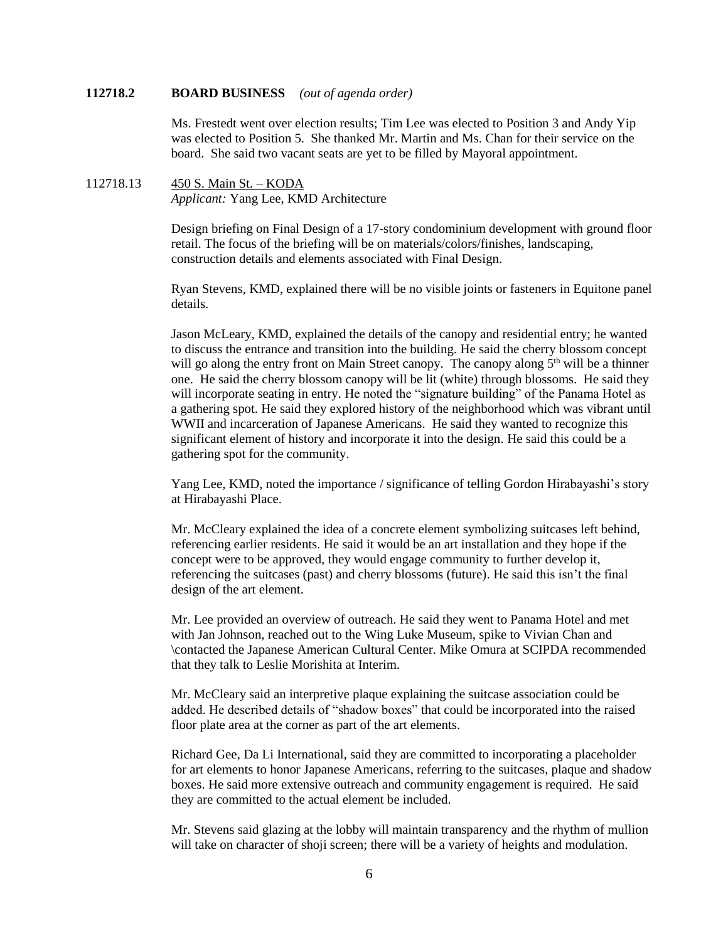## **112718.2 BOARD BUSINESS** *(out of agenda order)*

Ms. Frestedt went over election results; Tim Lee was elected to Position 3 and Andy Yip was elected to Position 5. She thanked Mr. Martin and Ms. Chan for their service on the board. She said two vacant seats are yet to be filled by Mayoral appointment.

# 112718.13 450 S. Main St. – KODA *Applicant:* Yang Lee, KMD Architecture

Design briefing on Final Design of a 17-story condominium development with ground floor retail. The focus of the briefing will be on materials/colors/finishes, landscaping, construction details and elements associated with Final Design.

Ryan Stevens, KMD, explained there will be no visible joints or fasteners in Equitone panel details.

Jason McLeary, KMD, explained the details of the canopy and residential entry; he wanted to discuss the entrance and transition into the building. He said the cherry blossom concept will go along the entry front on Main Street canopy. The canopy along 5<sup>th</sup> will be a thinner one. He said the cherry blossom canopy will be lit (white) through blossoms. He said they will incorporate seating in entry. He noted the "signature building" of the Panama Hotel as a gathering spot. He said they explored history of the neighborhood which was vibrant until WWII and incarceration of Japanese Americans. He said they wanted to recognize this significant element of history and incorporate it into the design. He said this could be a gathering spot for the community.

Yang Lee, KMD, noted the importance / significance of telling Gordon Hirabayashi's story at Hirabayashi Place.

Mr. McCleary explained the idea of a concrete element symbolizing suitcases left behind, referencing earlier residents. He said it would be an art installation and they hope if the concept were to be approved, they would engage community to further develop it, referencing the suitcases (past) and cherry blossoms (future). He said this isn't the final design of the art element.

Mr. Lee provided an overview of outreach. He said they went to Panama Hotel and met with Jan Johnson, reached out to the Wing Luke Museum, spike to Vivian Chan and \contacted the Japanese American Cultural Center. Mike Omura at SCIPDA recommended that they talk to Leslie Morishita at Interim.

Mr. McCleary said an interpretive plaque explaining the suitcase association could be added. He described details of "shadow boxes" that could be incorporated into the raised floor plate area at the corner as part of the art elements.

Richard Gee, Da Li International, said they are committed to incorporating a placeholder for art elements to honor Japanese Americans, referring to the suitcases, plaque and shadow boxes. He said more extensive outreach and community engagement is required. He said they are committed to the actual element be included.

Mr. Stevens said glazing at the lobby will maintain transparency and the rhythm of mullion will take on character of shoji screen; there will be a variety of heights and modulation.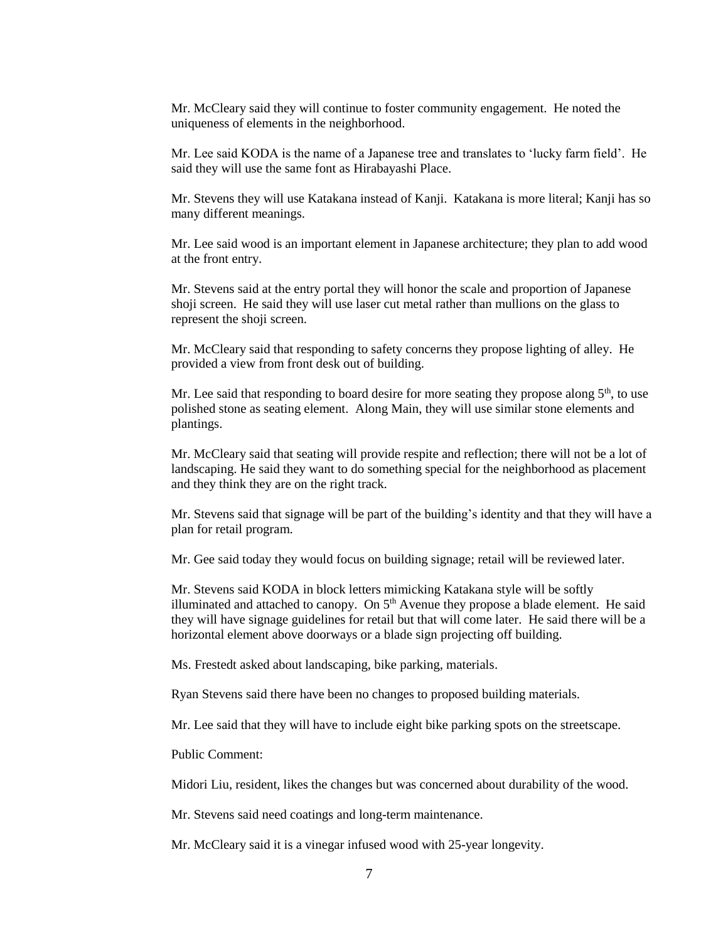Mr. McCleary said they will continue to foster community engagement. He noted the uniqueness of elements in the neighborhood.

Mr. Lee said KODA is the name of a Japanese tree and translates to 'lucky farm field'. He said they will use the same font as Hirabayashi Place.

Mr. Stevens they will use Katakana instead of Kanji. Katakana is more literal; Kanji has so many different meanings.

Mr. Lee said wood is an important element in Japanese architecture; they plan to add wood at the front entry.

Mr. Stevens said at the entry portal they will honor the scale and proportion of Japanese shoji screen. He said they will use laser cut metal rather than mullions on the glass to represent the shoji screen.

Mr. McCleary said that responding to safety concerns they propose lighting of alley. He provided a view from front desk out of building.

Mr. Lee said that responding to board desire for more seating they propose along  $5<sup>th</sup>$ , to use polished stone as seating element. Along Main, they will use similar stone elements and plantings.

Mr. McCleary said that seating will provide respite and reflection; there will not be a lot of landscaping. He said they want to do something special for the neighborhood as placement and they think they are on the right track.

Mr. Stevens said that signage will be part of the building's identity and that they will have a plan for retail program.

Mr. Gee said today they would focus on building signage; retail will be reviewed later.

Mr. Stevens said KODA in block letters mimicking Katakana style will be softly illuminated and attached to canopy. On  $5<sup>th</sup>$  Avenue they propose a blade element. He said they will have signage guidelines for retail but that will come later. He said there will be a horizontal element above doorways or a blade sign projecting off building.

Ms. Frestedt asked about landscaping, bike parking, materials.

Ryan Stevens said there have been no changes to proposed building materials.

Mr. Lee said that they will have to include eight bike parking spots on the streetscape.

Public Comment:

Midori Liu, resident, likes the changes but was concerned about durability of the wood.

Mr. Stevens said need coatings and long-term maintenance.

Mr. McCleary said it is a vinegar infused wood with 25-year longevity.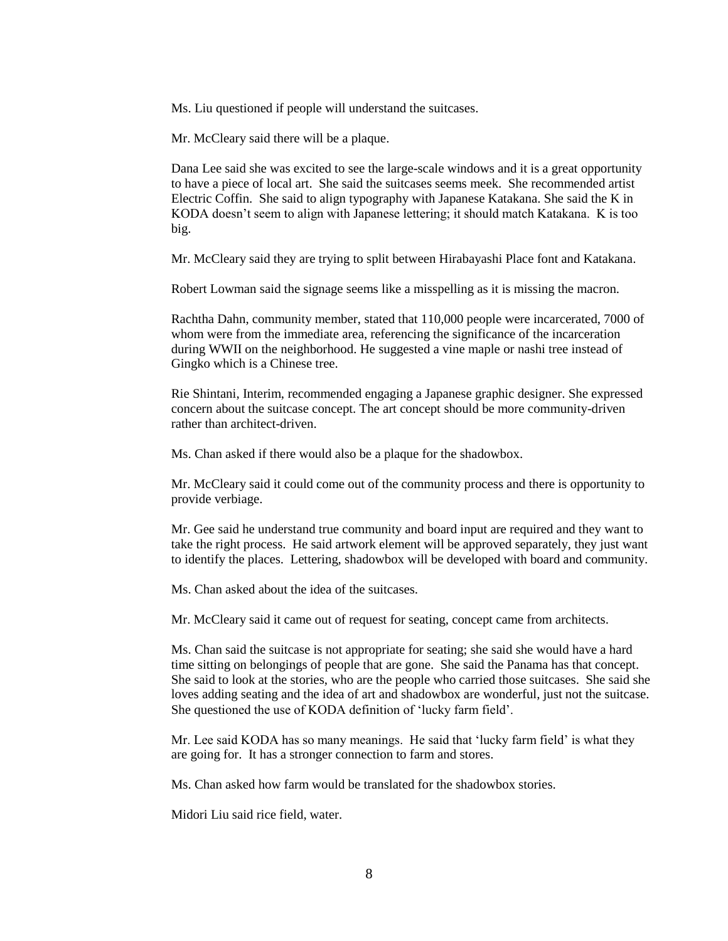Ms. Liu questioned if people will understand the suitcases.

Mr. McCleary said there will be a plaque.

Dana Lee said she was excited to see the large-scale windows and it is a great opportunity to have a piece of local art. She said the suitcases seems meek. She recommended artist Electric Coffin. She said to align typography with Japanese Katakana. She said the K in KODA doesn't seem to align with Japanese lettering; it should match Katakana. K is too big.

Mr. McCleary said they are trying to split between Hirabayashi Place font and Katakana.

Robert Lowman said the signage seems like a misspelling as it is missing the macron.

Rachtha Dahn, community member, stated that 110,000 people were incarcerated, 7000 of whom were from the immediate area, referencing the significance of the incarceration during WWII on the neighborhood. He suggested a vine maple or nashi tree instead of Gingko which is a Chinese tree.

Rie Shintani, Interim, recommended engaging a Japanese graphic designer. She expressed concern about the suitcase concept. The art concept should be more community-driven rather than architect-driven.

Ms. Chan asked if there would also be a plaque for the shadowbox.

Mr. McCleary said it could come out of the community process and there is opportunity to provide verbiage.

Mr. Gee said he understand true community and board input are required and they want to take the right process. He said artwork element will be approved separately, they just want to identify the places. Lettering, shadowbox will be developed with board and community.

Ms. Chan asked about the idea of the suitcases.

Mr. McCleary said it came out of request for seating, concept came from architects.

Ms. Chan said the suitcase is not appropriate for seating; she said she would have a hard time sitting on belongings of people that are gone. She said the Panama has that concept. She said to look at the stories, who are the people who carried those suitcases. She said she loves adding seating and the idea of art and shadowbox are wonderful, just not the suitcase. She questioned the use of KODA definition of 'lucky farm field'.

Mr. Lee said KODA has so many meanings. He said that 'lucky farm field' is what they are going for. It has a stronger connection to farm and stores.

Ms. Chan asked how farm would be translated for the shadowbox stories.

Midori Liu said rice field, water.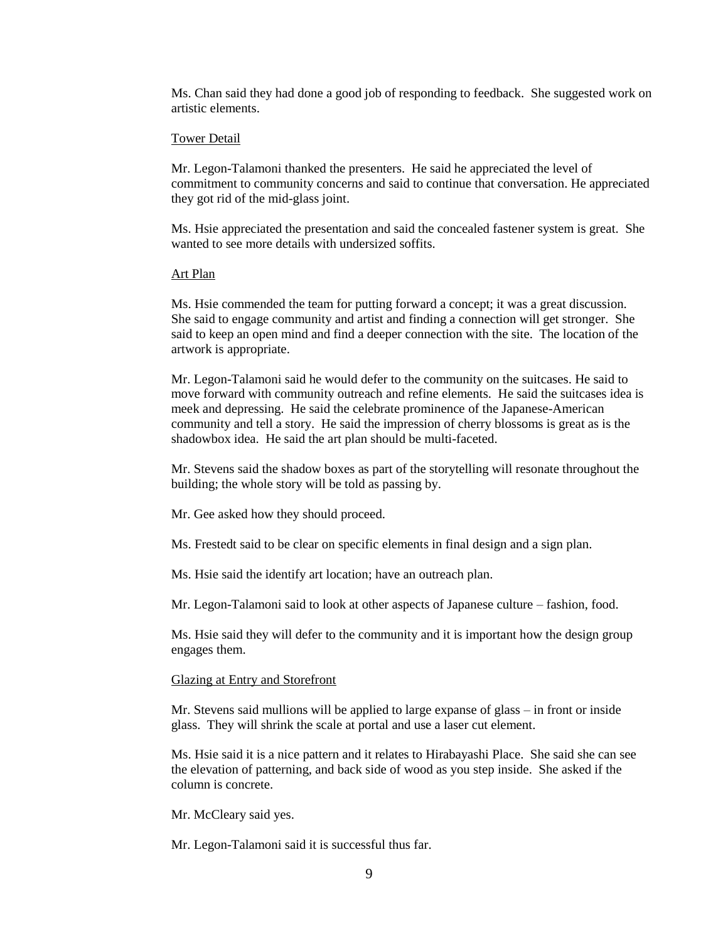Ms. Chan said they had done a good job of responding to feedback. She suggested work on artistic elements.

#### Tower Detail

Mr. Legon-Talamoni thanked the presenters. He said he appreciated the level of commitment to community concerns and said to continue that conversation. He appreciated they got rid of the mid-glass joint.

Ms. Hsie appreciated the presentation and said the concealed fastener system is great. She wanted to see more details with undersized soffits.

#### Art Plan

Ms. Hsie commended the team for putting forward a concept; it was a great discussion. She said to engage community and artist and finding a connection will get stronger. She said to keep an open mind and find a deeper connection with the site. The location of the artwork is appropriate.

Mr. Legon-Talamoni said he would defer to the community on the suitcases. He said to move forward with community outreach and refine elements. He said the suitcases idea is meek and depressing. He said the celebrate prominence of the Japanese-American community and tell a story. He said the impression of cherry blossoms is great as is the shadowbox idea. He said the art plan should be multi-faceted.

Mr. Stevens said the shadow boxes as part of the storytelling will resonate throughout the building; the whole story will be told as passing by.

Mr. Gee asked how they should proceed.

Ms. Frestedt said to be clear on specific elements in final design and a sign plan.

Ms. Hsie said the identify art location; have an outreach plan.

Mr. Legon-Talamoni said to look at other aspects of Japanese culture – fashion, food.

Ms. Hsie said they will defer to the community and it is important how the design group engages them.

## Glazing at Entry and Storefront

Mr. Stevens said mullions will be applied to large expanse of glass – in front or inside glass. They will shrink the scale at portal and use a laser cut element.

Ms. Hsie said it is a nice pattern and it relates to Hirabayashi Place. She said she can see the elevation of patterning, and back side of wood as you step inside. She asked if the column is concrete.

Mr. McCleary said yes.

Mr. Legon-Talamoni said it is successful thus far.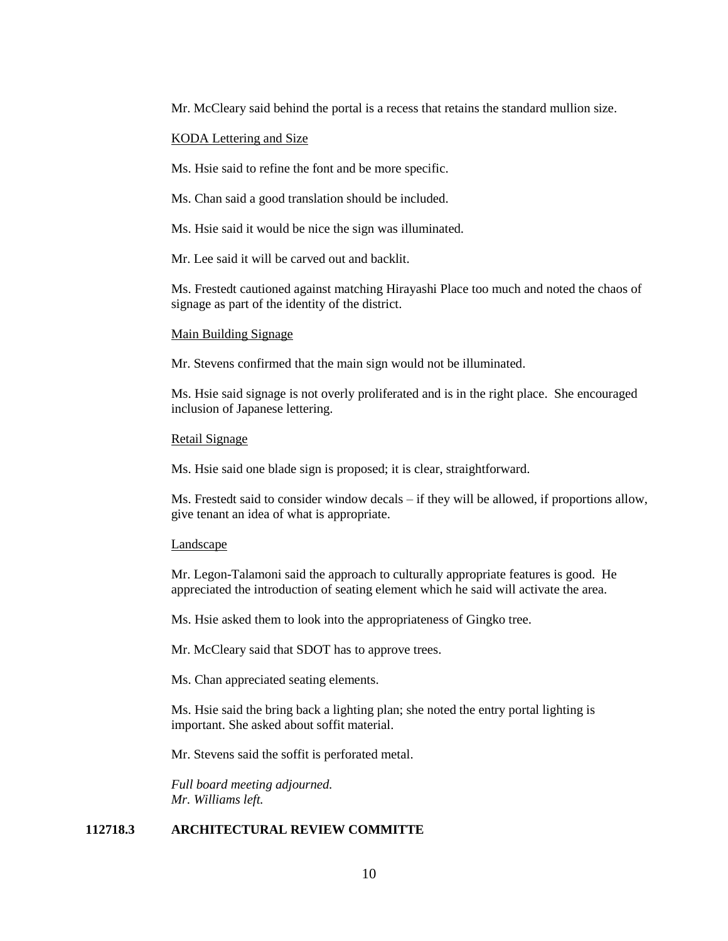Mr. McCleary said behind the portal is a recess that retains the standard mullion size.

#### KODA Lettering and Size

Ms. Hsie said to refine the font and be more specific.

Ms. Chan said a good translation should be included.

Ms. Hsie said it would be nice the sign was illuminated.

Mr. Lee said it will be carved out and backlit.

Ms. Frestedt cautioned against matching Hirayashi Place too much and noted the chaos of signage as part of the identity of the district.

#### Main Building Signage

Mr. Stevens confirmed that the main sign would not be illuminated.

Ms. Hsie said signage is not overly proliferated and is in the right place. She encouraged inclusion of Japanese lettering.

#### Retail Signage

Ms. Hsie said one blade sign is proposed; it is clear, straightforward.

Ms. Frestedt said to consider window decals – if they will be allowed, if proportions allow, give tenant an idea of what is appropriate.

#### Landscape

Mr. Legon-Talamoni said the approach to culturally appropriate features is good. He appreciated the introduction of seating element which he said will activate the area.

Ms. Hsie asked them to look into the appropriateness of Gingko tree.

Mr. McCleary said that SDOT has to approve trees.

Ms. Chan appreciated seating elements.

Ms. Hsie said the bring back a lighting plan; she noted the entry portal lighting is important. She asked about soffit material.

Mr. Stevens said the soffit is perforated metal.

*Full board meeting adjourned. Mr. Williams left.*

## **112718.3 ARCHITECTURAL REVIEW COMMITTE**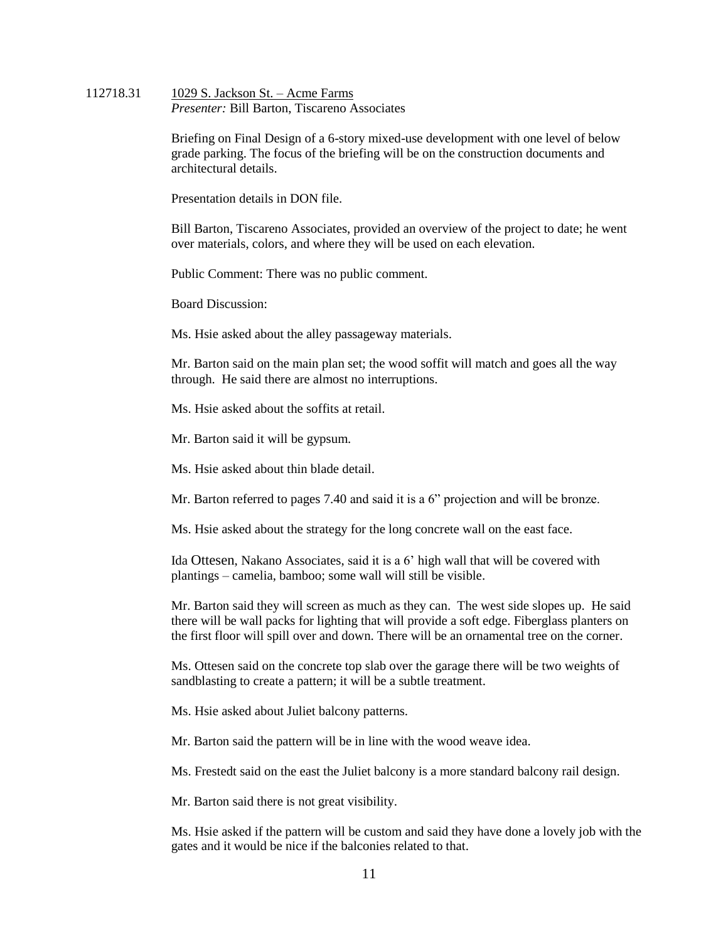#### 112718.31 1029 S. Jackson St. – Acme Farms *Presenter:* Bill Barton, Tiscareno Associates

Briefing on Final Design of a 6-story mixed-use development with one level of below grade parking. The focus of the briefing will be on the construction documents and architectural details.

Presentation details in DON file.

Bill Barton, Tiscareno Associates, provided an overview of the project to date; he went over materials, colors, and where they will be used on each elevation.

Public Comment: There was no public comment.

Board Discussion:

Ms. Hsie asked about the alley passageway materials.

Mr. Barton said on the main plan set; the wood soffit will match and goes all the way through. He said there are almost no interruptions.

Ms. Hsie asked about the soffits at retail.

Mr. Barton said it will be gypsum.

Ms. Hsie asked about thin blade detail.

Mr. Barton referred to pages 7.40 and said it is a 6" projection and will be bronze.

Ms. Hsie asked about the strategy for the long concrete wall on the east face.

Ida Ottesen, Nakano Associates, said it is a 6' high wall that will be covered with plantings – camelia, bamboo; some wall will still be visible.

Mr. Barton said they will screen as much as they can. The west side slopes up. He said there will be wall packs for lighting that will provide a soft edge. Fiberglass planters on the first floor will spill over and down. There will be an ornamental tree on the corner.

Ms. Ottesen said on the concrete top slab over the garage there will be two weights of sandblasting to create a pattern; it will be a subtle treatment.

Ms. Hsie asked about Juliet balcony patterns.

Mr. Barton said the pattern will be in line with the wood weave idea.

Ms. Frestedt said on the east the Juliet balcony is a more standard balcony rail design.

Mr. Barton said there is not great visibility.

Ms. Hsie asked if the pattern will be custom and said they have done a lovely job with the gates and it would be nice if the balconies related to that.